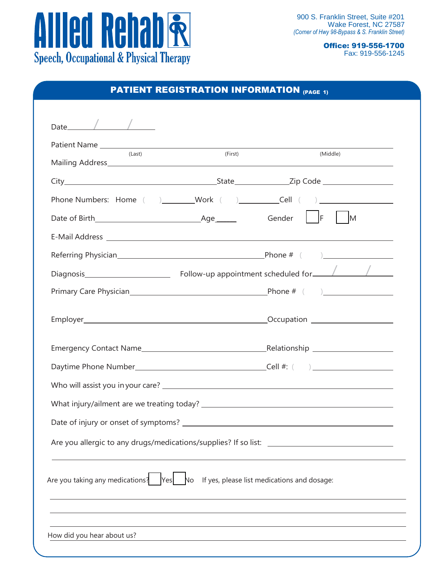

Office: 919-556-1700 Fax: 919-556-1245

| Date $\angle$<br>Patient Name<br>(Last)<br>Phone Numbers: Home ( )_________Work ( )_______________Cell ( )__________________                   | (First) | (Middle)                                                                         |
|------------------------------------------------------------------------------------------------------------------------------------------------|---------|----------------------------------------------------------------------------------|
|                                                                                                                                                |         |                                                                                  |
|                                                                                                                                                |         |                                                                                  |
|                                                                                                                                                |         |                                                                                  |
|                                                                                                                                                |         |                                                                                  |
|                                                                                                                                                |         |                                                                                  |
|                                                                                                                                                |         |                                                                                  |
|                                                                                                                                                |         |                                                                                  |
|                                                                                                                                                |         |                                                                                  |
|                                                                                                                                                |         |                                                                                  |
|                                                                                                                                                |         |                                                                                  |
|                                                                                                                                                |         |                                                                                  |
|                                                                                                                                                |         |                                                                                  |
|                                                                                                                                                |         |                                                                                  |
|                                                                                                                                                |         |                                                                                  |
|                                                                                                                                                |         |                                                                                  |
|                                                                                                                                                |         |                                                                                  |
|                                                                                                                                                |         |                                                                                  |
|                                                                                                                                                |         |                                                                                  |
|                                                                                                                                                |         |                                                                                  |
|                                                                                                                                                |         |                                                                                  |
| Are you taking any medications? $\begin{array}{ccc} \text{Yes} & \text{No} & \text{If yes, please list modifications and dosage:} \end{array}$ |         |                                                                                  |
|                                                                                                                                                |         |                                                                                  |
|                                                                                                                                                |         |                                                                                  |
| How did you hear about us?                                                                                                                     |         | ,我们也不会有什么。""我们的人,我们也不会有什么?""我们的人,我们也不会有什么?""我们的人,我们的人,我们的人,我们的人,我们的人,我们的人,我们的人,我 |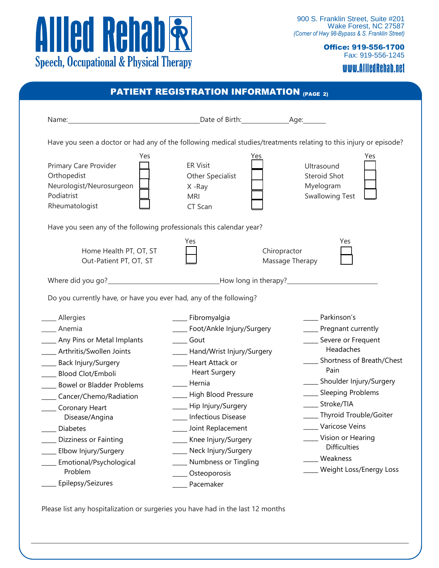

Office: 919-556-1700 Fax: 919-556-1245

www.AlliedRehab.net

| PATIENT REGISTRATION INFORMATION (PAGE 2) |
|-------------------------------------------|
|-------------------------------------------|

| Have you seen a doctor or had any of the following medical studies/treatments relating to this injury or episode?<br>Yes<br>Yes<br>Yes |                                                                        |                                                                   |  |  |  |
|----------------------------------------------------------------------------------------------------------------------------------------|------------------------------------------------------------------------|-------------------------------------------------------------------|--|--|--|
| Primary Care Provider<br>Orthopedist<br>Neurologist/Neurosurgeon<br>Podiatrist<br>Rheumatologist                                       | <b>ER Visit</b><br>Other Specialist<br>X -Ray<br><b>MRI</b><br>CT Scan | Ultrasound<br>Steroid Shot<br>Myelogram<br><b>Swallowing Test</b> |  |  |  |
| Have you seen any of the following professionals this calendar year?<br>Yes<br>Yes                                                     |                                                                        |                                                                   |  |  |  |
| Home Health PT, OT, ST<br>Out-Patient PT, OT, ST                                                                                       | Chiropractor                                                           | Massage Therapy                                                   |  |  |  |
|                                                                                                                                        |                                                                        |                                                                   |  |  |  |
| Do you currently have, or have you ever had, any of the following?                                                                     |                                                                        |                                                                   |  |  |  |
| __ Allergies                                                                                                                           | ____ Fibromyalgia                                                      | Parkinson's                                                       |  |  |  |
| Anemia                                                                                                                                 | ____ Foot/Ankle Injury/Surgery                                         | ____ Pregnant currently                                           |  |  |  |
| _____ Any Pins or Metal Implants                                                                                                       | ____ Gout                                                              | ___ Severe or Frequent                                            |  |  |  |
| ___ Arthritis/Swollen Joints                                                                                                           | ____ Hand/Wrist Injury/Surgery                                         | Headaches                                                         |  |  |  |
| _____ Back Injury/Surgery<br><b>Blood Clot/Emboli</b>                                                                                  | Heart Attack or<br><b>Heart Surgery</b>                                | Shortness of Breath/Chest<br>Pain                                 |  |  |  |
| ____ Bowel or Bladder Problems                                                                                                         | Hernia                                                                 | ____ Shoulder Injury/Surgery                                      |  |  |  |
| Cancer/Chemo/Radiation                                                                                                                 | ___ High Blood Pressure                                                | ____ Sleeping Problems                                            |  |  |  |
| Coronary Heart                                                                                                                         | ___ Hip Injury/Surgery                                                 | Stroke/TIA                                                        |  |  |  |
| Disease/Angina                                                                                                                         | <b>Infectious Disease</b>                                              | ____ Thyroid Trouble/Goiter                                       |  |  |  |
| _ Diabetes                                                                                                                             | __ Joint Replacement                                                   | Varicose Veins                                                    |  |  |  |
| Dizziness or Fainting                                                                                                                  | Knee Injury/Surgery                                                    | Vision or Hearing                                                 |  |  |  |
| Elbow Injury/Surgery                                                                                                                   | ___ Neck Injury/Surgery                                                | <b>Difficulties</b>                                               |  |  |  |
| Emotional/Psychological                                                                                                                | Numbness or Tingling                                                   | Weakness                                                          |  |  |  |
| Problem                                                                                                                                | Osteoporosis                                                           | Weight Loss/Energy Loss                                           |  |  |  |
| Epilepsy/Seizures                                                                                                                      | _ Pacemaker                                                            |                                                                   |  |  |  |

Please list any hospitalization or surgeries you have had in the last 12 months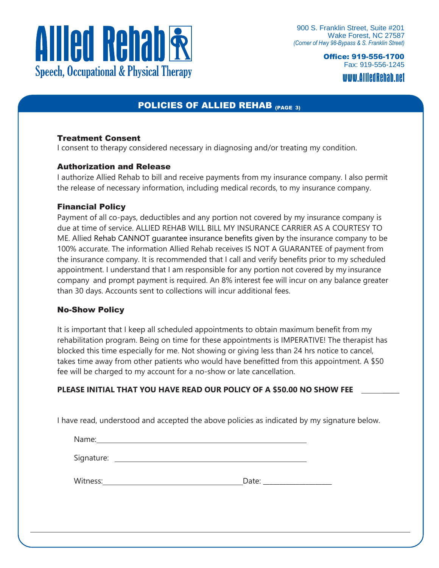

Office: 919-556-1700 Fax: 919-556-1245 www.AlliedRehab.net

### POLICIES OF ALLIED REHAB (PAGE 3)

#### Treatment Consent

I consent to therapy considered necessary in diagnosing and/or treating my condition.

#### Authorization and Release

I authorize Allied Rehab to bill and receive payments from my insurance company. I also permit the release of necessary information, including medical records, to my insurance company.

#### Financial Policy

Payment of all co-pays, deductibles and any portion not covered by my insurance company is due at time of service. ALLIED REHAB WILL BILL MY INSURANCE CARRIER AS A COURTESY TO ME. Allied Rehab CANNOT guarantee insurance benefits given by the insurance company to be 100% accurate. The information Allied Rehab receives IS NOT A GUARANTEE of payment from the insurance company. It is recommended that I call and verify benefits prior to my scheduled appointment. I understand that I am responsible for any portion not covered by my insurance company and prompt payment is required. An 8% interest fee will incur on any balance greater than 30 days. Accounts sent to collections will incur additional fees.

#### No-Show Policy

It is important that I keep all scheduled appointments to obtain maximum benefit from my rehabilitation program. Being on time for these appointments is IMPERATIVE! The therapist has blocked this time especially for me. Not showing or giving less than 24 hrs notice to cancel, takes time away from other patients who would have benefitted from this appointment. A \$50 fee will be charged to my account for a no-show or late cancellation.

#### PLEASE INITIAL THAT YOU HAVE READ OUR POLICY OF A \$50.00 NO SHOW FEE

I have read, understood and accepted the above policies as indicated by my signature below.